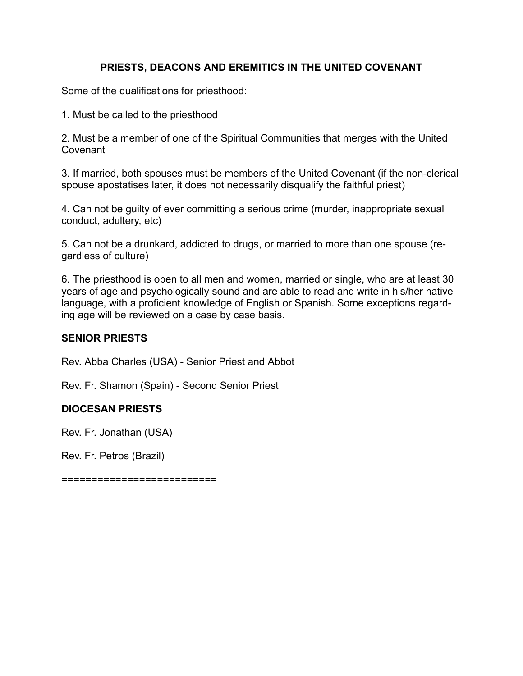# **PRIESTS, DEACONS AND EREMITICS IN THE UNITED COVENANT**

Some of the qualifications for priesthood:

1. Must be called to the priesthood

2. Must be a member of one of the Spiritual Communities that merges with the United Covenant

3. If married, both spouses must be members of the United Covenant (if the non-clerical spouse apostatises later, it does not necessarily disqualify the faithful priest)

4. Can not be guilty of ever committing a serious crime (murder, inappropriate sexual conduct, adultery, etc)

5. Can not be a drunkard, addicted to drugs, or married to more than one spouse (regardless of culture)

6. The priesthood is open to all men and women, married or single, who are at least 30 years of age and psychologically sound and are able to read and write in his/her native language, with a proficient knowledge of English or Spanish. Some exceptions regarding age will be reviewed on a case by case basis.

## **SENIOR PRIESTS**

Rev. Abba Charles (USA) - Senior Priest and Abbot

Rev. Fr. Shamon (Spain) - Second Senior Priest

## **DIOCESAN PRIESTS**

Rev. Fr. Jonathan (USA)

Rev. Fr. Petros (Brazil)

==========================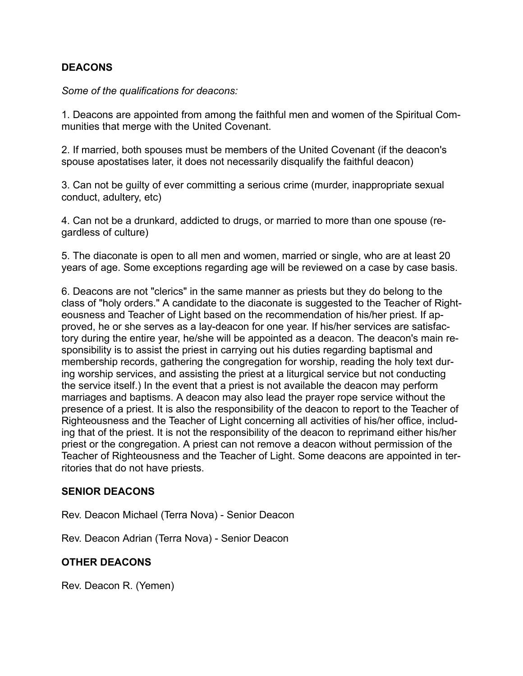## **DEACONS**

*Some of the qualifications for deacons:*

1. Deacons are appointed from among the faithful men and women of the Spiritual Communities that merge with the United Covenant.

2. If married, both spouses must be members of the United Covenant (if the deacon's spouse apostatises later, it does not necessarily disqualify the faithful deacon)

3. Can not be guilty of ever committing a serious crime (murder, inappropriate sexual conduct, adultery, etc)

4. Can not be a drunkard, addicted to drugs, or married to more than one spouse (regardless of culture)

5. The diaconate is open to all men and women, married or single, who are at least 20 years of age. Some exceptions regarding age will be reviewed on a case by case basis.

6. Deacons are not "clerics" in the same manner as priests but they do belong to the class of "holy orders." A candidate to the diaconate is suggested to the Teacher of Righteousness and Teacher of Light based on the recommendation of his/her priest. If approved, he or she serves as a lay-deacon for one year. If his/her services are satisfactory during the entire year, he/she will be appointed as a deacon. The deacon's main responsibility is to assist the priest in carrying out his duties regarding baptismal and membership records, gathering the congregation for worship, reading the holy text during worship services, and assisting the priest at a liturgical service but not conducting the service itself.) In the event that a priest is not available the deacon may perform marriages and baptisms. A deacon may also lead the prayer rope service without the presence of a priest. It is also the responsibility of the deacon to report to the Teacher of Righteousness and the Teacher of Light concerning all activities of his/her office, including that of the priest. It is not the responsibility of the deacon to reprimand either his/her priest or the congregation. A priest can not remove a deacon without permission of the Teacher of Righteousness and the Teacher of Light. Some deacons are appointed in territories that do not have priests.

## **SENIOR DEACONS**

Rev. Deacon Michael (Terra Nova) - Senior Deacon

Rev. Deacon Adrian (Terra Nova) - Senior Deacon

## **OTHER DEACONS**

Rev. Deacon R. (Yemen)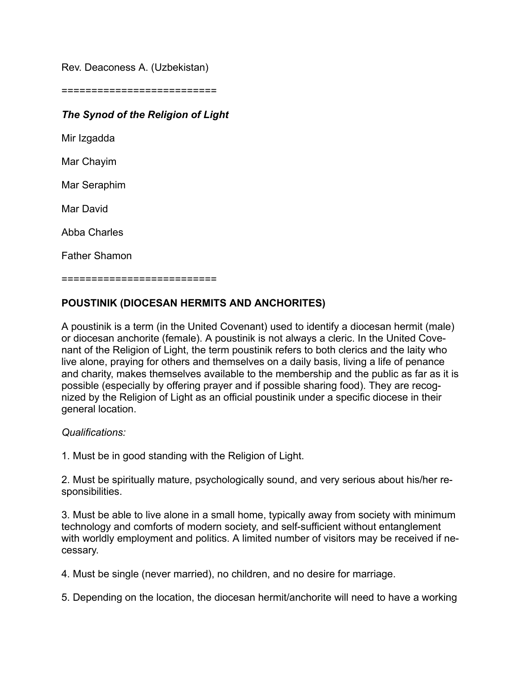Rev. Deaconess A. (Uzbekistan)

==========================

# *The Synod of the Religion of Light*

Mir Izgadda

Mar Chayim

Mar Seraphim

Mar David

Abba Charles

Father Shamon

==========================

# **POUSTINIK (DIOCESAN HERMITS AND ANCHORITES)**

A poustinik is a term (in the United Covenant) used to identify a diocesan hermit (male) or diocesan anchorite (female). A poustinik is not always a cleric. In the United Covenant of the Religion of Light, the term poustinik refers to both clerics and the laity who live alone, praying for others and themselves on a daily basis, living a life of penance and charity, makes themselves available to the membership and the public as far as it is possible (especially by offering prayer and if possible sharing food). They are recognized by the Religion of Light as an official poustinik under a specific diocese in their general location.

## *Qualifications:*

1. Must be in good standing with the Religion of Light.

2. Must be spiritually mature, psychologically sound, and very serious about his/her responsibilities.

3. Must be able to live alone in a small home, typically away from society with minimum technology and comforts of modern society, and self-sufficient without entanglement with worldly employment and politics. A limited number of visitors may be received if necessary.

4. Must be single (never married), no children, and no desire for marriage.

5. Depending on the location, the diocesan hermit/anchorite will need to have a working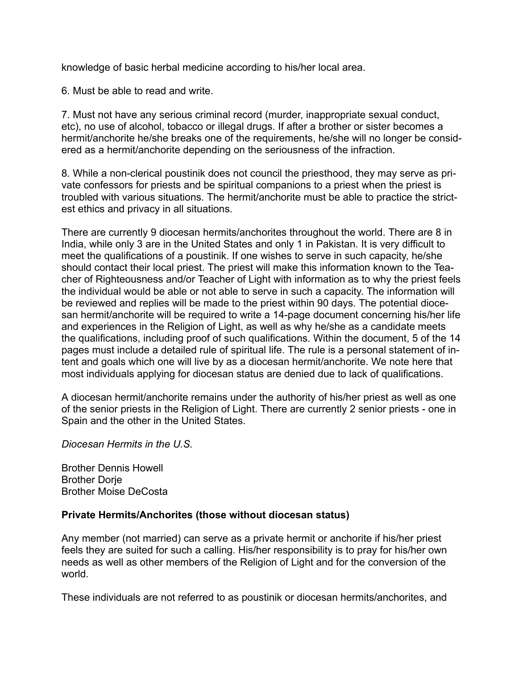knowledge of basic herbal medicine according to his/her local area.

6. Must be able to read and write.

7. Must not have any serious criminal record (murder, inappropriate sexual conduct, etc), no use of alcohol, tobacco or illegal drugs. If after a brother or sister becomes a hermit/anchorite he/she breaks one of the requirements, he/she will no longer be considered as a hermit/anchorite depending on the seriousness of the infraction.

8. While a non-clerical poustinik does not council the priesthood, they may serve as private confessors for priests and be spiritual companions to a priest when the priest is troubled with various situations. The hermit/anchorite must be able to practice the strictest ethics and privacy in all situations.

There are currently 9 diocesan hermits/anchorites throughout the world. There are 8 in India, while only 3 are in the United States and only 1 in Pakistan. It is very difficult to meet the qualifications of a poustinik. If one wishes to serve in such capacity, he/she should contact their local priest. The priest will make this information known to the Teacher of Righteousness and/or Teacher of Light with information as to why the priest feels the individual would be able or not able to serve in such a capacity. The information will be reviewed and replies will be made to the priest within 90 days. The potential diocesan hermit/anchorite will be required to write a 14-page document concerning his/her life and experiences in the Religion of Light, as well as why he/she as a candidate meets the qualifications, including proof of such qualifications. Within the document, 5 of the 14 pages must include a detailed rule of spiritual life. The rule is a personal statement of intent and goals which one will live by as a diocesan hermit/anchorite. We note here that most individuals applying for diocesan status are denied due to lack of qualifications.

A diocesan hermit/anchorite remains under the authority of his/her priest as well as one of the senior priests in the Religion of Light. There are currently 2 senior priests - one in Spain and the other in the United States.

*Diocesan Hermits in the U.S.*

Brother Dennis Howell **Brother Dorie** Brother Moise DeCosta

## **Private Hermits/Anchorites (those without diocesan status)**

Any member (not married) can serve as a private hermit or anchorite if his/her priest feels they are suited for such a calling. His/her responsibility is to pray for his/her own needs as well as other members of the Religion of Light and for the conversion of the world.

These individuals are not referred to as poustinik or diocesan hermits/anchorites, and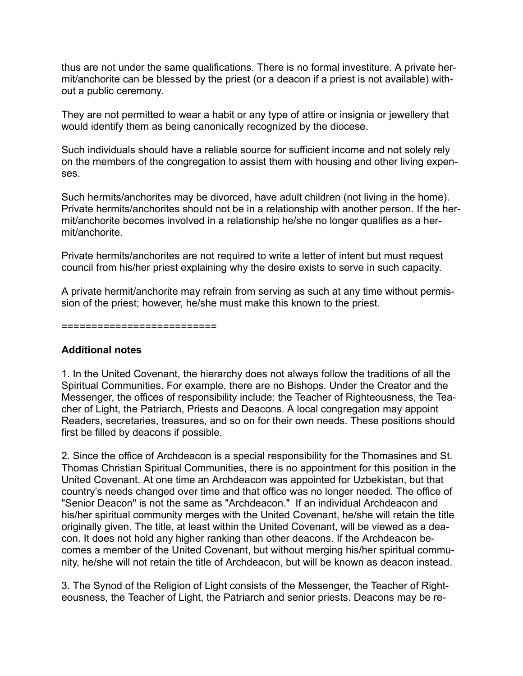thus are not under the same qualifications. There is no formal investiture. A private hermit/anchorite can be blessed by the priest (or a deacon if a priest is not available) without a public ceremony.

They are not permitted to wear a habit or any type of attire or insignia or jewellery that would identify them as being canonically recognized by the diocese.

Such individuals should have a reliable source for sufficient income and not solely rely on the members of the congregation to assist them with housing and other living expenses.

Such hermits/anchorites may be divorced, have adult children (not living in the home). Private hermits/anchorites should not be in a relationship with another person. If the hermit/anchorite becomes involved in a relationship he/she no longer qualifies as a hermit/anchorite.

Private hermits/anchorites are not required to write a letter of intent but must request council from his/her priest explaining why the desire exists to serve in such capacity.

A private hermit/anchorite may refrain from serving as such at any time without permission of the priest; however, he/she must make this known to the priest.

#### ==========================

## **Additional notes**

1. In the United Covenant, the hierarchy does not always follow the traditions of all the Spiritual Communities. For example, there are no Bishops. Under the Creator and the Messenger, the offices of responsibility include: the Teacher of Righteousness, the Teacher of Light, the Patriarch, Priests and Deacons. A local congregation may appoint Readers, secretaries, treasures, and so on for their own needs. These positions should first be filled by deacons if possible.

2. Since the office of Archdeacon is a special responsibility for the Thomasines and St. Thomas Christian Spiritual Communities, there is no appointment for this position in the United Covenant. At one time an Archdeacon was appointed for Uzbekistan, but that country's needs changed over time and that office was no longer needed. The office of "Senior Deacon" is not the same as "Archdeacon." If an individual Archdeacon and his/her spiritual community merges with the United Covenant, he/she will retain the title originally given. The title, at least within the United Covenant, will be viewed as a deacon. It does not hold any higher ranking than other deacons. If the Archdeacon becomes a member of the United Covenant, but without merging his/her spiritual community, he/she will not retain the title of Archdeacon, but will be known as deacon instead.

3. The Synod of the Religion of Light consists of the Messenger, the Teacher of Righteousness, the Teacher of Light, the Patriarch and senior priests. Deacons may be re